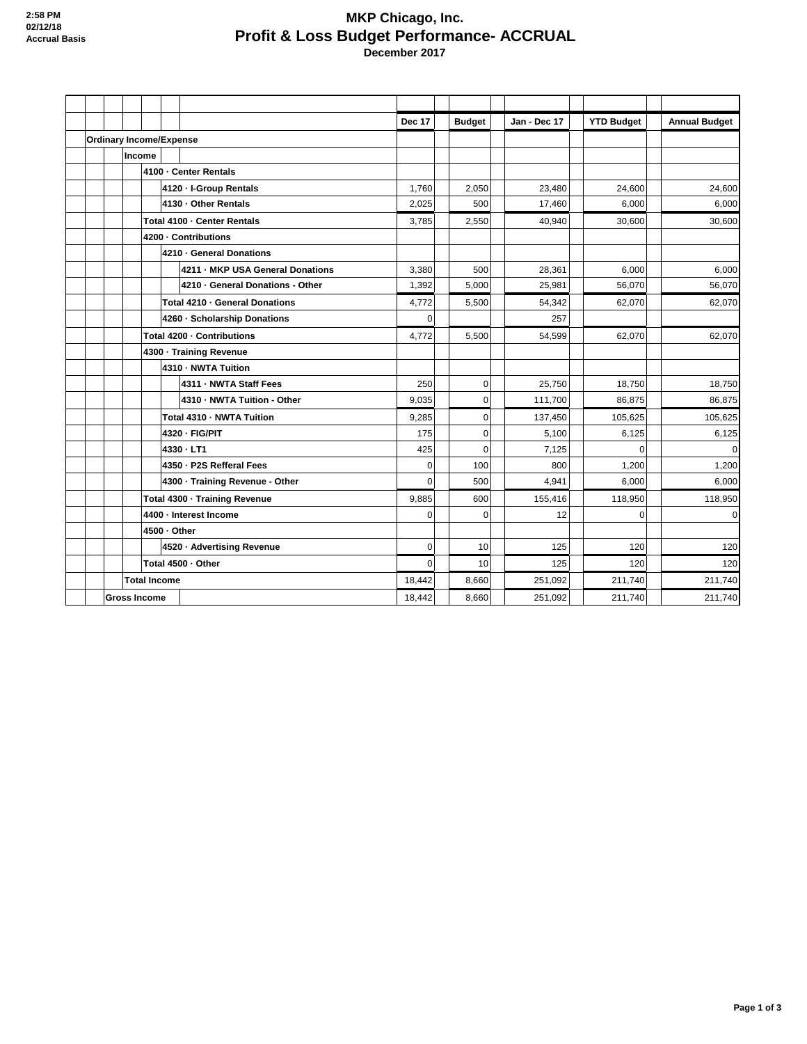## **MKP Chicago, Inc. Profit & Loss Budget Performance- ACCRUAL December 2017**

|                     |                     |                         |                            |              |                                  | <b>Dec 17</b>  | <b>Budget</b> | Jan - Dec 17 | <b>YTD Budget</b> | <b>Annual Budget</b> |
|---------------------|---------------------|-------------------------|----------------------------|--------------|----------------------------------|----------------|---------------|--------------|-------------------|----------------------|
|                     |                     |                         |                            |              | <b>Ordinary Income/Expense</b>   |                |               |              |                   |                      |
|                     |                     |                         | Income                     |              |                                  |                |               |              |                   |                      |
|                     |                     |                         |                            |              | 4100 - Center Rentals            |                |               |              |                   |                      |
|                     |                     |                         |                            |              | 4120 - I-Group Rentals           | 1,760          | 2,050         | 23,480       | 24,600            | 24,600               |
|                     |                     |                         |                            |              | 4130 - Other Rentals             | 2,025          | 500           | 17,460       | 6,000             | 6,000                |
|                     |                     |                         |                            |              | Total 4100 - Center Rentals      | 3,785          | 2,550         | 40,940       | 30,600            | 30,600               |
|                     |                     |                         |                            |              | 4200 - Contributions             |                |               |              |                   |                      |
|                     |                     |                         |                            |              | 4210 - General Donations         |                |               |              |                   |                      |
|                     |                     |                         |                            |              | 4211 - MKP USA General Donations | 3,380          | 500           | 28,361       | 6,000             | 6,000                |
|                     |                     |                         |                            |              | 4210 · General Donations - Other | 1,392          | 5.000         | 25.981       | 56,070            | 56,070               |
|                     |                     |                         |                            |              | Total 4210 · General Donations   | 4,772          | 5,500         | 54,342       | 62,070            | 62,070               |
|                     |                     |                         |                            |              | 4260 - Scholarship Donations     | $\Omega$       |               | 257          |                   |                      |
|                     |                     |                         | Total 4200 - Contributions |              | 4,772                            | 5,500          | 54,599        | 62,070       | 62,070            |                      |
|                     |                     | 4300 - Training Revenue |                            |              |                                  |                |               |              |                   |                      |
|                     |                     |                         |                            |              | 4310 - NWTA Tuition              |                |               |              |                   |                      |
|                     |                     |                         |                            |              | 4311 - NWTA Staff Fees           | 250            | $\pmb{0}$     | 25,750       | 18,750            | 18,750               |
|                     |                     |                         |                            |              | 4310 - NWTA Tuition - Other      | 9,035          | $\mathbf 0$   | 111,700      | 86,875            | 86,875               |
|                     |                     |                         |                            |              | Total 4310 - NWTA Tuition        | 9,285          | $\mathbf 0$   | 137,450      | 105,625           | 105,625              |
|                     |                     |                         |                            |              | 4320 - FIG/PIT                   | 175            | $\mathbf 0$   | 5,100        | 6,125             | 6,125                |
|                     |                     |                         |                            |              | 4330 - LT1                       | 425            | $\mathbf 0$   | 7,125        | $\mathbf 0$       | $\pmb{0}$            |
|                     |                     |                         |                            |              | 4350 - P2S Refferal Fees         | 0              | 100           | 800          | 1,200             | 1,200                |
|                     |                     |                         |                            |              | 4300 - Training Revenue - Other  | $\Omega$       | 500           | 4,941        | 6,000             | 6,000                |
|                     |                     |                         |                            |              | Total 4300 - Training Revenue    | 9,885          | 600           | 155,416      | 118,950           | 118,950              |
|                     |                     |                         |                            |              | 4400 - Interest Income           | $\overline{0}$ | 0             | 12           | $\mathbf 0$       | $\mathbf 0$          |
|                     |                     |                         |                            | 4500 - Other |                                  |                |               |              |                   |                      |
|                     |                     |                         |                            |              | 4520 · Advertising Revenue       | $\mathbf{0}$   | 10            | 125          | 120               | 120                  |
|                     |                     |                         |                            |              | Total 4500 - Other               | $\Omega$       | 10            | 125          | 120               | 120                  |
|                     | <b>Total Income</b> |                         |                            |              |                                  | 18,442         | 8.660         | 251.092      | 211.740           | 211,740              |
| <b>Gross Income</b> |                     |                         |                            |              |                                  | 18,442         | 8.660         | 251,092      | 211,740           | 211,740              |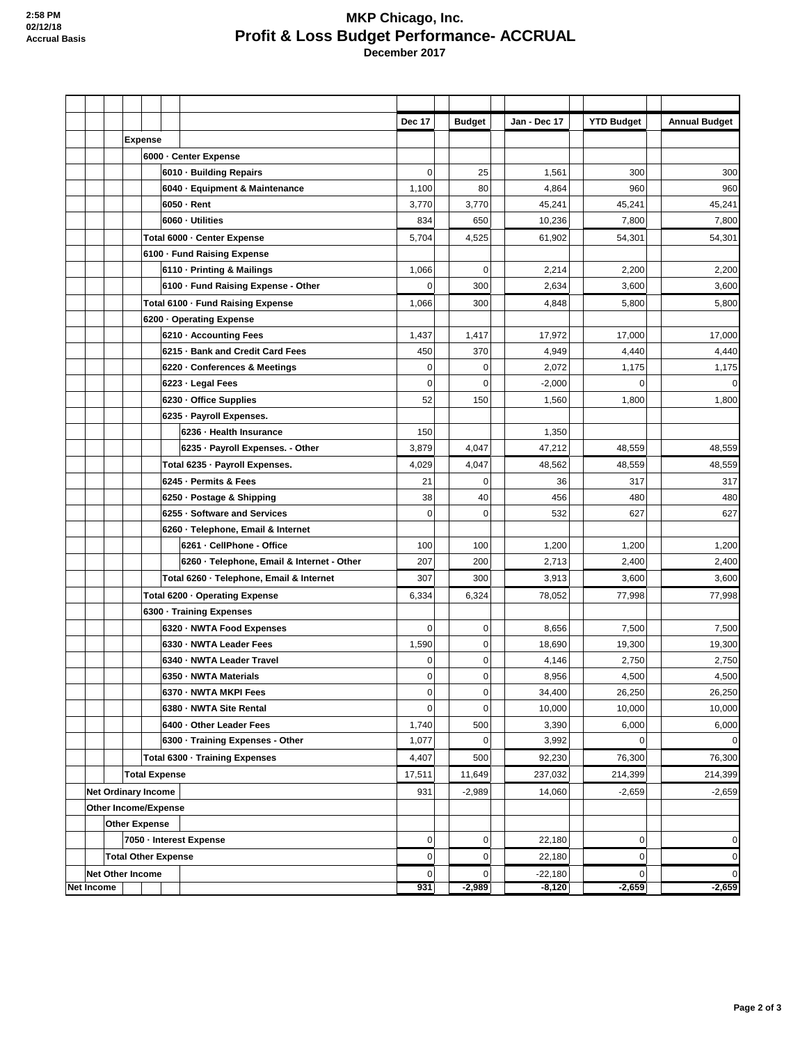## **MKP Chicago, Inc. Profit & Loss Budget Performance- ACCRUAL December 2017**

|                   |                            |                            |                                            | Dec 17      | <b>Budget</b>  | Jan - Dec 17 | <b>YTD Budget</b> | <b>Annual Budget</b> |
|-------------------|----------------------------|----------------------------|--------------------------------------------|-------------|----------------|--------------|-------------------|----------------------|
|                   |                            | <b>Expense</b>             |                                            |             |                |              |                   |                      |
|                   |                            |                            | 6000 - Center Expense                      |             |                |              |                   |                      |
|                   |                            |                            | 6010 · Building Repairs                    | $\mathbf 0$ | 25             | 1,561        | 300               | 300                  |
|                   |                            |                            | 6040 · Equipment & Maintenance             | 1,100       | 80             | 4,864        | 960               | 960                  |
|                   |                            |                            | $6050 - Rent$                              | 3,770       | 3,770          | 45,241       | 45,241            | 45,241               |
|                   |                            |                            | 6060 - Utilities                           | 834         | 650            | 10,236       | 7,800             | 7,800                |
|                   |                            |                            | Total 6000 - Center Expense                | 5,704       | 4,525          | 61,902       | 54,301            | 54,301               |
|                   |                            |                            | 6100 - Fund Raising Expense                |             |                |              |                   |                      |
|                   |                            |                            | 6110 · Printing & Mailings                 | 1,066       | $\mathbf 0$    | 2,214        | 2,200             | 2,200                |
|                   |                            |                            | 6100 - Fund Raising Expense - Other        | 0           | 300            | 2,634        | 3,600             | 3,600                |
|                   |                            |                            | Total 6100 - Fund Raising Expense          | 1,066       | 300            | 4,848        | 5,800             | 5,800                |
|                   |                            |                            | 6200 - Operating Expense                   |             |                |              |                   |                      |
|                   |                            |                            | 6210 · Accounting Fees                     | 1,437       | 1,417          | 17,972       | 17,000            | 17,000               |
|                   |                            |                            | 6215 · Bank and Credit Card Fees           | 450         | 370            | 4,949        | 4,440             | 4,440                |
|                   |                            |                            | 6220 - Conferences & Meetings              | 0           | $\mathbf 0$    | 2,072        | 1,175             | 1,175                |
|                   |                            |                            | 6223 - Legal Fees                          | 0           | $\mathbf 0$    | $-2,000$     | $\mathbf 0$       | $\mathbf 0$          |
|                   |                            |                            | 6230 - Office Supplies                     | 52          | 150            | 1,560        | 1,800             | 1,800                |
|                   |                            |                            | 6235 - Payroll Expenses.                   |             |                |              |                   |                      |
|                   |                            |                            | 6236 - Health Insurance                    | 150         |                | 1,350        |                   |                      |
|                   |                            |                            | 6235 - Payroll Expenses. - Other           | 3,879       | 4,047          | 47,212       | 48,559            | 48,559               |
|                   |                            |                            | Total 6235 · Payroll Expenses.             | 4,029       | 4,047          | 48,562       | 48,559            | 48,559               |
|                   |                            |                            | 6245 - Permits & Fees                      | 21          | $\mathbf 0$    | 36           | 317               | 317                  |
|                   |                            |                            | 6250 - Postage & Shipping                  | 38          | 40             | 456          | 480               | 480                  |
|                   |                            |                            | 6255 - Software and Services               | 0           | 0              | 532          | 627               | 627                  |
|                   |                            |                            | 6260 · Telephone, Email & Internet         |             |                |              |                   |                      |
|                   |                            |                            | 6261 - CellPhone - Office                  | 100         | 100            | 1,200        | 1,200             | 1,200                |
|                   |                            |                            | 6260 - Telephone, Email & Internet - Other | 207         | 200            | 2,713        | 2,400             | 2,400                |
|                   |                            |                            |                                            | 307         | 300            | 3,913        | 3,600             | 3,600                |
|                   |                            |                            | Total 6260 - Telephone, Email & Internet   |             |                |              |                   |                      |
|                   |                            |                            | Total 6200 - Operating Expense             | 6,334       | 6,324          | 78,052       | 77,998            | 77,998               |
|                   |                            |                            | 6300 - Training Expenses                   |             |                |              |                   |                      |
|                   |                            |                            | 6320 - NWTA Food Expenses                  | 0           | 0              | 8,656        | 7,500             | 7,500                |
|                   |                            |                            | 6330 - NWTA Leader Fees                    | 1,590       | $\mathbf 0$    | 18,690       | 19.300            | 19,300               |
|                   |                            |                            | 6340 - NWTA Leader Travel                  | 0           | $\mathbf 0$    | 4,146        | 2,750             | 2,750                |
|                   |                            |                            | 6350 - NWTA Materials                      | 0           | $\overline{0}$ | 8,956        | 4,500             | 4,500                |
|                   |                            |                            | 6370 - NWTA MKPI Fees                      | 0           | $\pmb{0}$      | 34,400       | 26,250            | 26,250               |
|                   |                            |                            | 6380 - NWTA Site Rental                    | 0           | $\mathbf 0$    | 10,000       | 10,000            | 10,000               |
|                   |                            |                            | 6400 Other Leader Fees                     | 1,740       | 500            | 3,390        | 6,000             | 6,000                |
|                   |                            |                            | 6300 - Training Expenses - Other           | 1,077       | $\mathbf 0$    | 3,992        | 0                 | $\mathbf 0$          |
|                   |                            |                            | Total 6300 - Training Expenses             | 4,407       | 500            | 92,230       | 76,300            | 76,300               |
|                   |                            | <b>Total Expense</b>       |                                            | 17,511      | 11,649         | 237,032      | 214,399           | 214,399              |
|                   | <b>Net Ordinary Income</b> |                            |                                            | 931         | $-2,989$       | 14,060       | $-2,659$          | $-2,659$             |
|                   | Other Income/Expense       |                            |                                            |             |                |              |                   |                      |
|                   |                            | <b>Other Expense</b>       |                                            |             |                |              |                   |                      |
|                   |                            |                            | 7050 - Interest Expense                    | 0           | 0              | 22,180       | $\pmb{0}$         | $\mathbf 0$          |
|                   |                            | <b>Total Other Expense</b> |                                            | 0           | $\mathbf 0$    | 22,180       | $\pmb{0}$         | 0                    |
|                   | <b>Net Other Income</b>    |                            |                                            | $\mathbf 0$ | $\mathbf 0$    | $-22,180$    | $\mathbf 0$       | $\pmb{0}$            |
| <b>Net Income</b> |                            |                            |                                            | 931         | $-2,989$       | $-8,120$     | $-2,659$          | $-2,659$             |